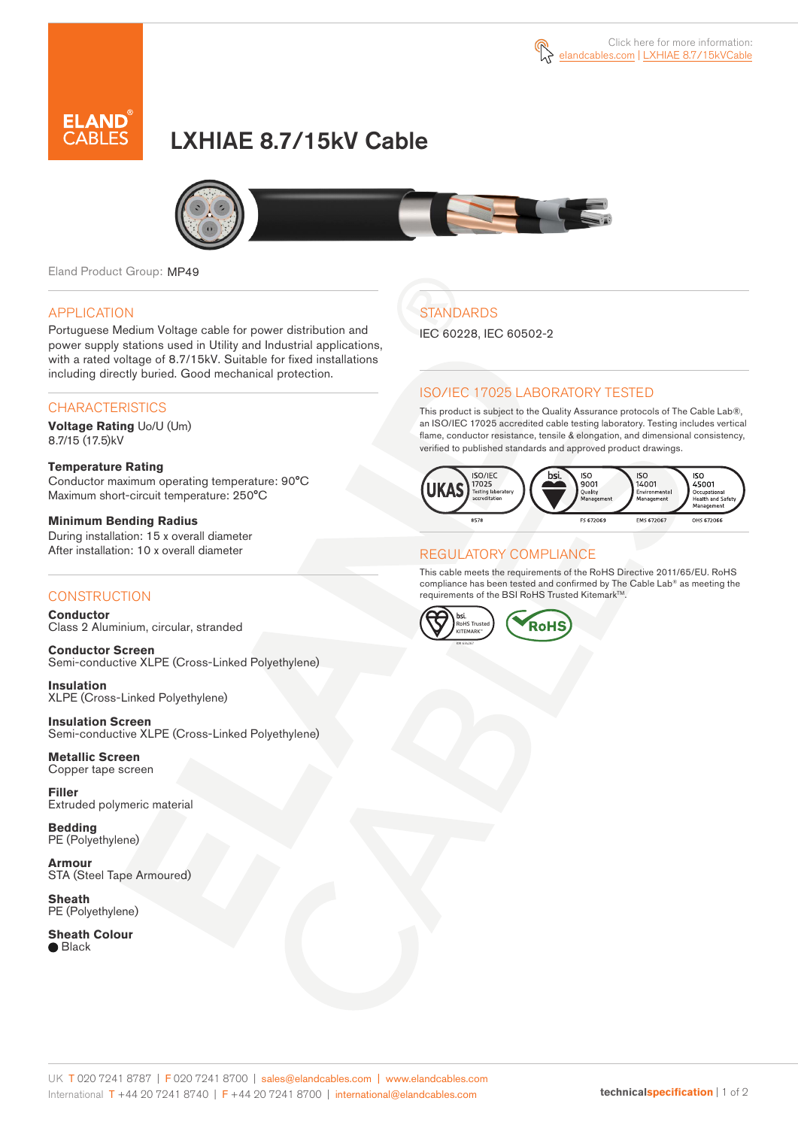

# LXHIAE 8.7/15kV Cable



Eland Product Group: MP49

### APPLICATION

Portuguese Medium Voltage cable for power distribution and power supply stations used in Utility and Industrial applications, with a rated voltage of 8.7/15kV. Suitable for fixed installations including directly buried. Good mechanical protection.

### **CHARACTERISTICS**

**Voltage Rating** Uo/U (Um) 8.7/15 (17.5)kV

#### **Temperature Rating**  Conductor maximum operating temperature: 90°C Maximum short-circuit temperature: 250°C

**Minimum Bending Radius**  During installation: 15 x overall diameter After installation: 10 x overall diameter

### **CONSTRUCTION**

**Conductor**  Class 2 Aluminium, circular, stranded

**Conductor Screen** Semi-conductive XLPE (Cross-Linked Polyethylene)

**Insulation** XLPE (Cross-Linked Polyethylene)

**Insulation Screen** Semi-conductive XLPE (Cross-Linked Polyethylene)

**Metallic Screen**  Copper tape screen

**Filler** Extruded polymeric material

**Bedding** PE (Polyethylene)

**Armour** STA (Steel Tape Armoured)

**Sheath** PE (Polyethylene)

**Sheath Colour** ● Black

## **STANDARDS**

IEC 60228, IEC 60502-2

### ISO/IEC 17025 LABORATORY TESTED

This product is subject to the Quality Assurance protocols of The Cable Lab®, an ISO/IEC 17025 accredited cable testing laboratory. Testing includes vertical flame, conductor resistance, tensile & elongation, and dimensional consistency, verified to published standards and approved product drawings.



### REGULATORY COMPLIANCE

This cable meets the requirements of the RoHS Directive 2011/65/EU. RoHS compliance has been tested and confirmed by The Cable Lab® as meeting the requirements of the BSI RoHS Trusted Kitemark™.